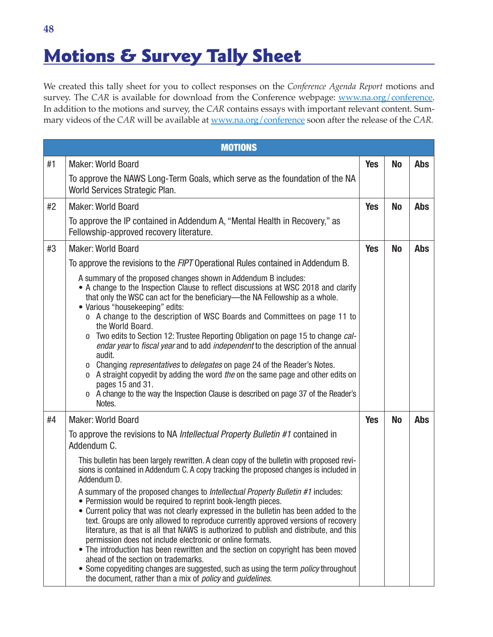## **Motions & Survey Tally Sheet**

We created this tally sheet for you to collect responses on the *Conference Agenda Report* motions and survey. The *CAR* is available for download from the Conference webpage: [www.na.org/conference](https://www.na.org/conference). In addition to the motions and survey, the *CAR* contains essays with important relevant content. Summary videos of the *CAR* will be available at [www.na.org/conference](https://www.na.org/conference) soon after the release of the *CAR.*

|    | <b>MOTIONS</b>                                                                                                                                                                                                                                                                                                                                                                                                                                                                                                                                                                                                                                                                                                                                                                                                                                       |            |           |            |
|----|------------------------------------------------------------------------------------------------------------------------------------------------------------------------------------------------------------------------------------------------------------------------------------------------------------------------------------------------------------------------------------------------------------------------------------------------------------------------------------------------------------------------------------------------------------------------------------------------------------------------------------------------------------------------------------------------------------------------------------------------------------------------------------------------------------------------------------------------------|------------|-----------|------------|
| #1 | <b>Maker: World Board</b>                                                                                                                                                                                                                                                                                                                                                                                                                                                                                                                                                                                                                                                                                                                                                                                                                            | <b>Yes</b> | <b>No</b> | <b>Abs</b> |
|    | To approve the NAWS Long-Term Goals, which serve as the foundation of the NA<br>World Services Strategic Plan.                                                                                                                                                                                                                                                                                                                                                                                                                                                                                                                                                                                                                                                                                                                                       |            |           |            |
| #2 | <b>Maker: World Board</b>                                                                                                                                                                                                                                                                                                                                                                                                                                                                                                                                                                                                                                                                                                                                                                                                                            | <b>Yes</b> | <b>No</b> | <b>Abs</b> |
|    | To approve the IP contained in Addendum A, "Mental Health in Recovery," as<br>Fellowship-approved recovery literature.                                                                                                                                                                                                                                                                                                                                                                                                                                                                                                                                                                                                                                                                                                                               |            |           |            |
| #3 | <b>Maker: World Board</b>                                                                                                                                                                                                                                                                                                                                                                                                                                                                                                                                                                                                                                                                                                                                                                                                                            | <b>Yes</b> | <b>No</b> | <b>Abs</b> |
|    | To approve the revisions to the FIPT Operational Rules contained in Addendum B.                                                                                                                                                                                                                                                                                                                                                                                                                                                                                                                                                                                                                                                                                                                                                                      |            |           |            |
|    | A summary of the proposed changes shown in Addendum B includes:<br>• A change to the Inspection Clause to reflect discussions at WSC 2018 and clarify<br>that only the WSC can act for the beneficiary—the NA Fellowship as a whole.<br>• Various "housekeeping" edits:<br>o A change to the description of WSC Boards and Committees on page 11 to<br>the World Board.<br>Two edits to Section 12: Trustee Reporting Obligation on page 15 to change cal-<br>0<br>endar year to fiscal year and to add independent to the description of the annual<br>audit.<br>o Changing representatives to delegates on page 24 of the Reader's Notes.<br>o A straight copyedit by adding the word the on the same page and other edits on<br>pages 15 and 31.<br>o A change to the way the Inspection Clause is described on page 37 of the Reader's<br>Notes. |            |           |            |
| #4 | <b>Maker: World Board</b>                                                                                                                                                                                                                                                                                                                                                                                                                                                                                                                                                                                                                                                                                                                                                                                                                            | <b>Yes</b> | <b>No</b> | <b>Abs</b> |
|    | To approve the revisions to NA <i>Intellectual Property Bulletin #1</i> contained in<br>Addendum C.                                                                                                                                                                                                                                                                                                                                                                                                                                                                                                                                                                                                                                                                                                                                                  |            |           |            |
|    | This bulletin has been largely rewritten. A clean copy of the bulletin with proposed revi-<br>sions is contained in Addendum C. A copy tracking the proposed changes is included in<br>Addendum D.                                                                                                                                                                                                                                                                                                                                                                                                                                                                                                                                                                                                                                                   |            |           |            |
|    | A summary of the proposed changes to <i>Intellectual Property Bulletin #1</i> includes:<br>• Permission would be required to reprint book-length pieces.<br>• Current policy that was not clearly expressed in the bulletin has been added to the<br>text. Groups are only allowed to reproduce currently approved versions of recovery<br>literature, as that is all that NAWS is authorized to publish and distribute, and this<br>permission does not include electronic or online formats.<br>• The introduction has been rewritten and the section on copyright has been moved<br>ahead of the section on trademarks.<br>• Some copyediting changes are suggested, such as using the term <i>policy</i> throughout<br>the document, rather than a mix of <i>policy</i> and <i>guidelines</i> .                                                  |            |           |            |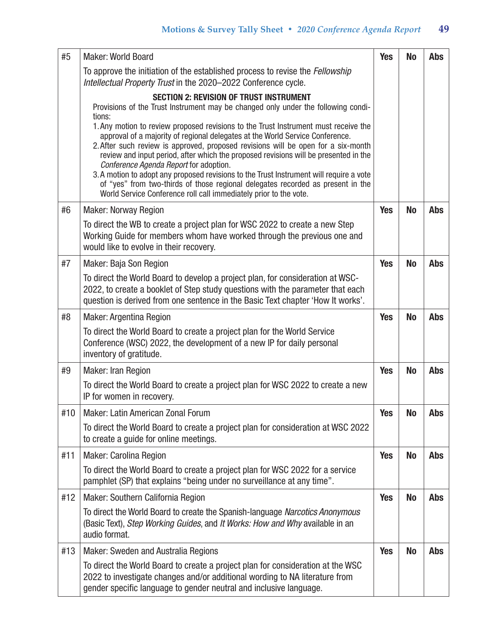| #5  | <b>Maker: World Board</b>                                                                                                                                                                                                                                                                                                                                                                                                                                                                                                                                                                                                                                | <b>Yes</b> | <b>No</b> | <b>Abs</b> |
|-----|----------------------------------------------------------------------------------------------------------------------------------------------------------------------------------------------------------------------------------------------------------------------------------------------------------------------------------------------------------------------------------------------------------------------------------------------------------------------------------------------------------------------------------------------------------------------------------------------------------------------------------------------------------|------------|-----------|------------|
|     | To approve the initiation of the established process to revise the Fellowship<br>Intellectual Property Trust in the 2020-2022 Conference cycle.                                                                                                                                                                                                                                                                                                                                                                                                                                                                                                          |            |           |            |
|     | <b>SECTION 2: REVISION OF TRUST INSTRUMENT</b><br>Provisions of the Trust Instrument may be changed only under the following condi-                                                                                                                                                                                                                                                                                                                                                                                                                                                                                                                      |            |           |            |
|     | tions:<br>1. Any motion to review proposed revisions to the Trust Instrument must receive the<br>approval of a majority of regional delegates at the World Service Conference.<br>2. After such review is approved, proposed revisions will be open for a six-month<br>review and input period, after which the proposed revisions will be presented in the<br>Conference Agenda Report for adoption.<br>3. A motion to adopt any proposed revisions to the Trust Instrument will require a vote<br>of "yes" from two-thirds of those regional delegates recorded as present in the<br>World Service Conference roll call immediately prior to the vote. |            |           |            |
| #6  | <b>Maker: Norway Region</b>                                                                                                                                                                                                                                                                                                                                                                                                                                                                                                                                                                                                                              | <b>Yes</b> | <b>No</b> | <b>Abs</b> |
|     | To direct the WB to create a project plan for WSC 2022 to create a new Step<br>Working Guide for members whom have worked through the previous one and<br>would like to evolve in their recovery.                                                                                                                                                                                                                                                                                                                                                                                                                                                        |            |           |            |
| #7  | Maker: Baja Son Region                                                                                                                                                                                                                                                                                                                                                                                                                                                                                                                                                                                                                                   | <b>Yes</b> | <b>No</b> | <b>Abs</b> |
|     | To direct the World Board to develop a project plan, for consideration at WSC-<br>2022, to create a booklet of Step study questions with the parameter that each<br>question is derived from one sentence in the Basic Text chapter 'How It works'.                                                                                                                                                                                                                                                                                                                                                                                                      |            |           |            |
| #8  | <b>Maker: Argentina Region</b>                                                                                                                                                                                                                                                                                                                                                                                                                                                                                                                                                                                                                           | <b>Yes</b> | <b>No</b> | <b>Abs</b> |
|     | To direct the World Board to create a project plan for the World Service<br>Conference (WSC) 2022, the development of a new IP for daily personal<br>inventory of gratitude.                                                                                                                                                                                                                                                                                                                                                                                                                                                                             |            |           |            |
| #9  | <b>Maker: Iran Region</b>                                                                                                                                                                                                                                                                                                                                                                                                                                                                                                                                                                                                                                | <b>Yes</b> | <b>No</b> | <b>Abs</b> |
|     | To direct the World Board to create a project plan for WSC 2022 to create a new<br>IP for women in recovery.                                                                                                                                                                                                                                                                                                                                                                                                                                                                                                                                             |            |           |            |
| #10 | <b>Maker: Latin American Zonal Forum</b>                                                                                                                                                                                                                                                                                                                                                                                                                                                                                                                                                                                                                 | <b>Yes</b> | <b>No</b> | <b>Abs</b> |
|     | To direct the World Board to create a project plan for consideration at WSC 2022<br>to create a quide for online meetings.                                                                                                                                                                                                                                                                                                                                                                                                                                                                                                                               |            |           |            |
| #11 | <b>Maker: Carolina Region</b>                                                                                                                                                                                                                                                                                                                                                                                                                                                                                                                                                                                                                            | <b>Yes</b> | <b>No</b> | <b>Abs</b> |
|     | To direct the World Board to create a project plan for WSC 2022 for a service<br>pamphlet (SP) that explains "being under no surveillance at any time".                                                                                                                                                                                                                                                                                                                                                                                                                                                                                                  |            |           |            |
| #12 | <b>Maker: Southern California Region</b>                                                                                                                                                                                                                                                                                                                                                                                                                                                                                                                                                                                                                 | <b>Yes</b> | <b>No</b> | <b>Abs</b> |
|     | To direct the World Board to create the Spanish-language Narcotics Anonymous<br>(Basic Text), Step Working Guides, and It Works: How and Why available in an<br>audio format.                                                                                                                                                                                                                                                                                                                                                                                                                                                                            |            |           |            |
| #13 | <b>Maker: Sweden and Australia Regions</b>                                                                                                                                                                                                                                                                                                                                                                                                                                                                                                                                                                                                               | <b>Yes</b> | <b>No</b> | <b>Abs</b> |
|     | To direct the World Board to create a project plan for consideration at the WSC<br>2022 to investigate changes and/or additional wording to NA literature from<br>gender specific language to gender neutral and inclusive language.                                                                                                                                                                                                                                                                                                                                                                                                                     |            |           |            |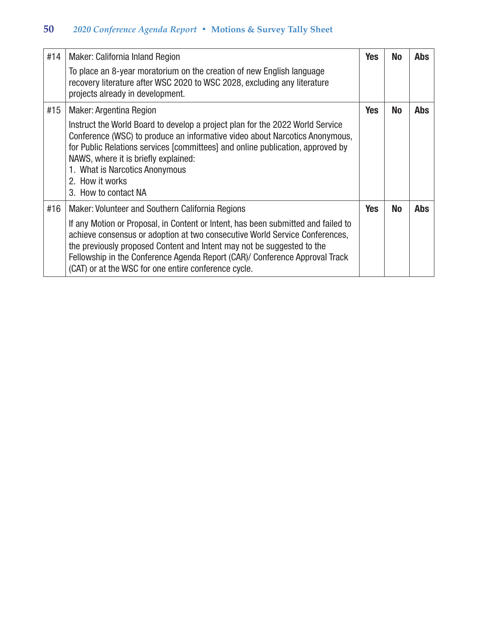| #14 | Maker: California Inland Region<br>To place an 8-year moratorium on the creation of new English language                                                                                                                                                                                                                                                                          | <b>Yes</b> | <b>No</b> | <b>Abs</b> |
|-----|-----------------------------------------------------------------------------------------------------------------------------------------------------------------------------------------------------------------------------------------------------------------------------------------------------------------------------------------------------------------------------------|------------|-----------|------------|
|     | recovery literature after WSC 2020 to WSC 2028, excluding any literature<br>projects already in development.                                                                                                                                                                                                                                                                      |            |           |            |
| #15 | <b>Maker: Argentina Region</b>                                                                                                                                                                                                                                                                                                                                                    | <b>Yes</b> | <b>No</b> | <b>Abs</b> |
|     | Instruct the World Board to develop a project plan for the 2022 World Service<br>Conference (WSC) to produce an informative video about Narcotics Anonymous,<br>for Public Relations services [committees] and online publication, approved by<br>NAWS, where it is briefly explained:<br>1. What is Narcotics Anonymous<br>2. How it works<br>3. How to contact NA               |            |           |            |
| #16 | Maker: Volunteer and Southern California Regions                                                                                                                                                                                                                                                                                                                                  | <b>Yes</b> | <b>No</b> | <b>Abs</b> |
|     | If any Motion or Proposal, in Content or Intent, has been submitted and failed to<br>achieve consensus or adoption at two consecutive World Service Conferences,<br>the previously proposed Content and Intent may not be suggested to the<br>Fellowship in the Conference Agenda Report (CAR)/ Conference Approval Track<br>(CAT) or at the WSC for one entire conference cycle. |            |           |            |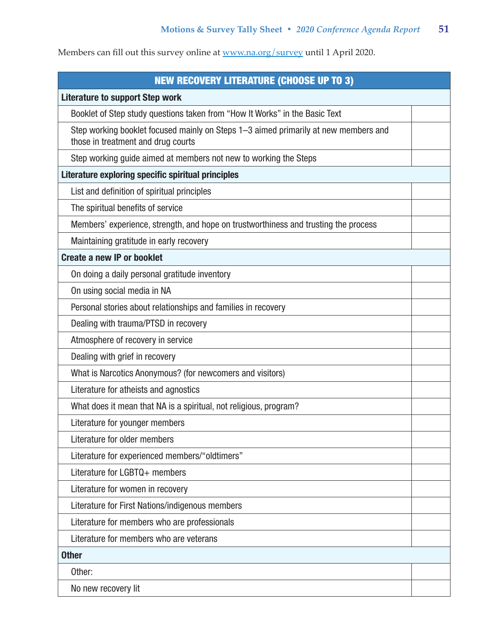| <b>NEW RECOVERY LITERATURE (CHOOSE UP TO 3)</b>                                                                           |  |  |
|---------------------------------------------------------------------------------------------------------------------------|--|--|
| <b>Literature to support Step work</b>                                                                                    |  |  |
| Booklet of Step study questions taken from "How It Works" in the Basic Text                                               |  |  |
| Step working booklet focused mainly on Steps 1-3 aimed primarily at new members and<br>those in treatment and drug courts |  |  |
| Step working guide aimed at members not new to working the Steps                                                          |  |  |
| Literature exploring specific spiritual principles                                                                        |  |  |
| List and definition of spiritual principles                                                                               |  |  |
| The spiritual benefits of service                                                                                         |  |  |
| Members' experience, strength, and hope on trustworthiness and trusting the process                                       |  |  |
| Maintaining gratitude in early recovery                                                                                   |  |  |
| <b>Create a new IP or booklet</b>                                                                                         |  |  |
| On doing a daily personal gratitude inventory                                                                             |  |  |
| On using social media in NA                                                                                               |  |  |
| Personal stories about relationships and families in recovery                                                             |  |  |
| Dealing with trauma/PTSD in recovery                                                                                      |  |  |
| Atmosphere of recovery in service                                                                                         |  |  |
| Dealing with grief in recovery                                                                                            |  |  |
| What is Narcotics Anonymous? (for newcomers and visitors)                                                                 |  |  |
| Literature for atheists and agnostics                                                                                     |  |  |
| What does it mean that NA is a spiritual, not religious, program?                                                         |  |  |
| Literature for younger members                                                                                            |  |  |
| Literature for older members                                                                                              |  |  |
| Literature for experienced members/"oldtimers"                                                                            |  |  |
| Literature for LGBTQ+ members                                                                                             |  |  |
| Literature for women in recovery                                                                                          |  |  |
| Literature for First Nations/indigenous members                                                                           |  |  |
| Literature for members who are professionals                                                                              |  |  |
| Literature for members who are veterans                                                                                   |  |  |
| <b>Other</b>                                                                                                              |  |  |
| Other:                                                                                                                    |  |  |
| No new recovery lit                                                                                                       |  |  |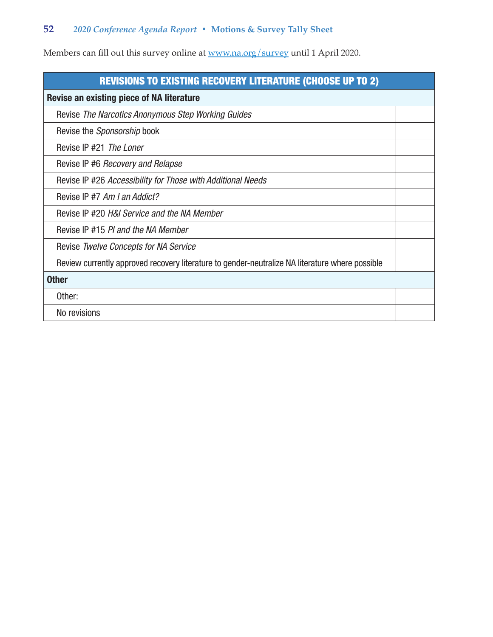| <b>REVISIONS TO EXISTING RECOVERY LITERATURE (CHOOSE UP TO 2)</b>                               |  |  |
|-------------------------------------------------------------------------------------------------|--|--|
| Revise an existing piece of NA literature                                                       |  |  |
| Revise The Narcotics Anonymous Step Working Guides                                              |  |  |
| Revise the <i>Sponsorship</i> book                                                              |  |  |
| Revise IP #21 The Loner                                                                         |  |  |
| Revise IP #6 <i>Recovery and Relapse</i>                                                        |  |  |
| Revise IP #26 Accessibility for Those with Additional Needs                                     |  |  |
| Revise IP #7 Am I an Addict?                                                                    |  |  |
| Revise IP #20 H&I Service and the NA Member                                                     |  |  |
| Revise IP #15 PI and the NA Member                                                              |  |  |
| Revise Twelve Concepts for NA Service                                                           |  |  |
| Review currently approved recovery literature to gender-neutralize NA literature where possible |  |  |
| <b>Other</b>                                                                                    |  |  |
| Other:                                                                                          |  |  |
| No revisions                                                                                    |  |  |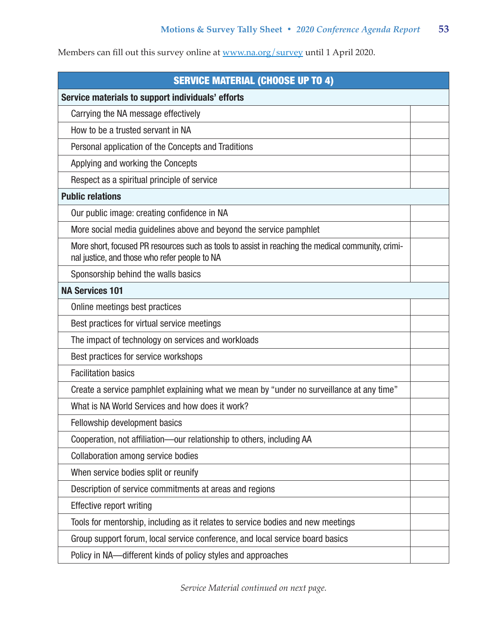| <b>SERVICE MATERIAL (CHOOSE UP TO 4)</b>                                                                                                            |  |  |
|-----------------------------------------------------------------------------------------------------------------------------------------------------|--|--|
| Service materials to support individuals' efforts                                                                                                   |  |  |
| Carrying the NA message effectively                                                                                                                 |  |  |
| How to be a trusted servant in NA                                                                                                                   |  |  |
| Personal application of the Concepts and Traditions                                                                                                 |  |  |
| Applying and working the Concepts                                                                                                                   |  |  |
| Respect as a spiritual principle of service                                                                                                         |  |  |
| <b>Public relations</b>                                                                                                                             |  |  |
| Our public image: creating confidence in NA                                                                                                         |  |  |
| More social media guidelines above and beyond the service pamphlet                                                                                  |  |  |
| More short, focused PR resources such as tools to assist in reaching the medical community, crimi-<br>nal justice, and those who refer people to NA |  |  |
| Sponsorship behind the walls basics                                                                                                                 |  |  |
| <b>NA Services 101</b>                                                                                                                              |  |  |
| Online meetings best practices                                                                                                                      |  |  |
| Best practices for virtual service meetings                                                                                                         |  |  |
| The impact of technology on services and workloads                                                                                                  |  |  |
| Best practices for service workshops                                                                                                                |  |  |
| <b>Facilitation basics</b>                                                                                                                          |  |  |
| Create a service pamphlet explaining what we mean by "under no surveillance at any time"                                                            |  |  |
| What is NA World Services and how does it work?                                                                                                     |  |  |
| Fellowship development basics                                                                                                                       |  |  |
| Cooperation, not affiliation-our relationship to others, including AA                                                                               |  |  |
| <b>Collaboration among service bodies</b>                                                                                                           |  |  |
| When service bodies split or reunify                                                                                                                |  |  |
| Description of service commitments at areas and regions                                                                                             |  |  |
| <b>Effective report writing</b>                                                                                                                     |  |  |
| Tools for mentorship, including as it relates to service bodies and new meetings                                                                    |  |  |
| Group support forum, local service conference, and local service board basics                                                                       |  |  |
| Policy in NA—different kinds of policy styles and approaches                                                                                        |  |  |

*Service Material continued on next page.*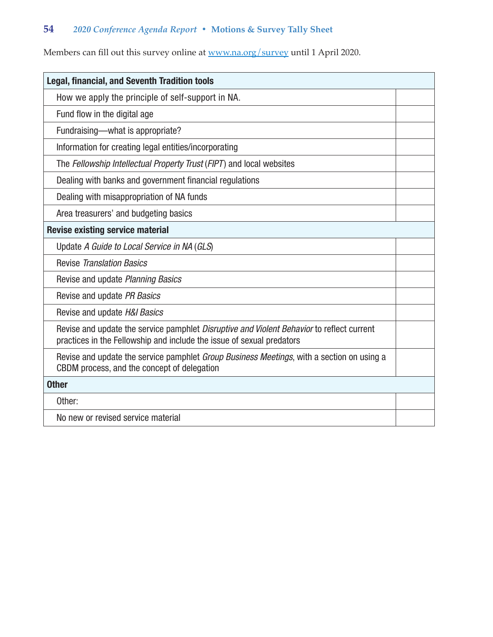| <b>Legal, financial, and Seventh Tradition tools</b>                                                                                                                      |  |  |
|---------------------------------------------------------------------------------------------------------------------------------------------------------------------------|--|--|
| How we apply the principle of self-support in NA.                                                                                                                         |  |  |
| Fund flow in the digital age                                                                                                                                              |  |  |
| Fundraising—what is appropriate?                                                                                                                                          |  |  |
| Information for creating legal entities/incorporating                                                                                                                     |  |  |
| The Fellowship Intellectual Property Trust (FIPT) and local websites                                                                                                      |  |  |
| Dealing with banks and government financial regulations                                                                                                                   |  |  |
| Dealing with misappropriation of NA funds                                                                                                                                 |  |  |
| Area treasurers' and budgeting basics                                                                                                                                     |  |  |
| <b>Revise existing service material</b>                                                                                                                                   |  |  |
| Update A Guide to Local Service in NA (GLS)                                                                                                                               |  |  |
| <b>Revise Translation Basics</b>                                                                                                                                          |  |  |
| Revise and update Planning Basics                                                                                                                                         |  |  |
| Revise and update PR Basics                                                                                                                                               |  |  |
| Revise and update H&I Basics                                                                                                                                              |  |  |
| Revise and update the service pamphlet <i>Disruptive and Violent Behavior</i> to reflect current<br>practices in the Fellowship and include the issue of sexual predators |  |  |
| Revise and update the service pamphlet Group Business Meetings, with a section on using a<br>CBDM process, and the concept of delegation                                  |  |  |
| <b>Other</b>                                                                                                                                                              |  |  |
| Other:                                                                                                                                                                    |  |  |
| No new or revised service material                                                                                                                                        |  |  |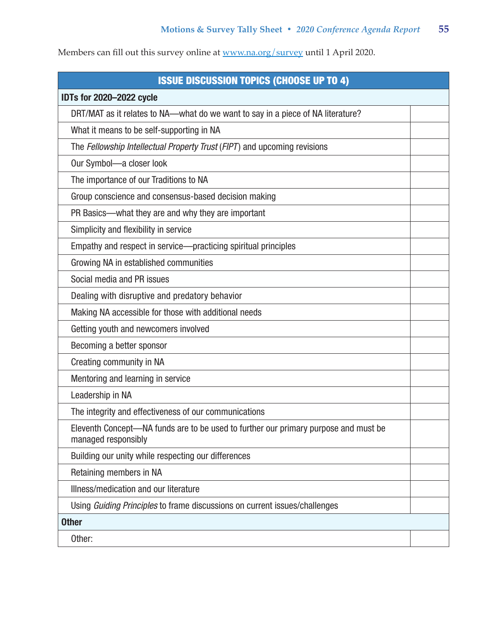| <b>ISSUE DISCUSSION TOPICS (CHOOSE UP TO 4)</b>                                                            |  |
|------------------------------------------------------------------------------------------------------------|--|
| <b>IDTs for 2020-2022 cycle</b>                                                                            |  |
| DRT/MAT as it relates to NA--what do we want to say in a piece of NA literature?                           |  |
| What it means to be self-supporting in NA                                                                  |  |
| The Fellowship Intellectual Property Trust (FIPT) and upcoming revisions                                   |  |
| Our Symbol-a closer look                                                                                   |  |
| The importance of our Traditions to NA                                                                     |  |
| Group conscience and consensus-based decision making                                                       |  |
| PR Basics—what they are and why they are important                                                         |  |
| Simplicity and flexibility in service                                                                      |  |
| Empathy and respect in service-practicing spiritual principles                                             |  |
| Growing NA in established communities                                                                      |  |
| Social media and PR issues                                                                                 |  |
| Dealing with disruptive and predatory behavior                                                             |  |
| Making NA accessible for those with additional needs                                                       |  |
| Getting youth and newcomers involved                                                                       |  |
| Becoming a better sponsor                                                                                  |  |
| Creating community in NA                                                                                   |  |
| Mentoring and learning in service                                                                          |  |
| Leadership in NA                                                                                           |  |
| The integrity and effectiveness of our communications                                                      |  |
| Eleventh Concept—NA funds are to be used to further our primary purpose and must be<br>managed responsibly |  |
| Building our unity while respecting our differences                                                        |  |
| Retaining members in NA                                                                                    |  |
| Illness/medication and our literature                                                                      |  |
| Using Guiding Principles to frame discussions on current issues/challenges                                 |  |
| <b>Other</b>                                                                                               |  |
| Other:                                                                                                     |  |